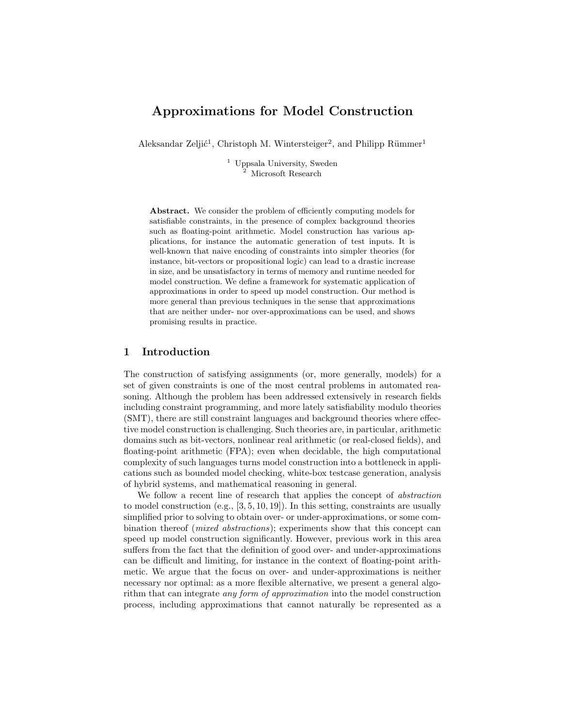# Approximations for Model Construction

Aleksandar Zeljić<sup>1</sup>, Christoph M. Wintersteiger<sup>2</sup>, and Philipp Rümmer<sup>1</sup>

<sup>1</sup> Uppsala University, Sweden Microsoft Research

Abstract. We consider the problem of efficiently computing models for satisfiable constraints, in the presence of complex background theories such as floating-point arithmetic. Model construction has various applications, for instance the automatic generation of test inputs. It is well-known that naive encoding of constraints into simpler theories (for instance, bit-vectors or propositional logic) can lead to a drastic increase in size, and be unsatisfactory in terms of memory and runtime needed for model construction. We define a framework for systematic application of approximations in order to speed up model construction. Our method is more general than previous techniques in the sense that approximations that are neither under- nor over-approximations can be used, and shows promising results in practice.

## 1 Introduction

The construction of satisfying assignments (or, more generally, models) for a set of given constraints is one of the most central problems in automated reasoning. Although the problem has been addressed extensively in research fields including constraint programming, and more lately satisfiability modulo theories (SMT), there are still constraint languages and background theories where effective model construction is challenging. Such theories are, in particular, arithmetic domains such as bit-vectors, nonlinear real arithmetic (or real-closed fields), and floating-point arithmetic (FPA); even when decidable, the high computational complexity of such languages turns model construction into a bottleneck in applications such as bounded model checking, white-box testcase generation, analysis of hybrid systems, and mathematical reasoning in general.

We follow a recent line of research that applies the concept of abstraction to model construction (e.g.,  $[3, 5, 10, 19]$ ). In this setting, constraints are usually simplified prior to solving to obtain over- or under-approximations, or some combination thereof (mixed abstractions); experiments show that this concept can speed up model construction significantly. However, previous work in this area suffers from the fact that the definition of good over- and under-approximations can be difficult and limiting, for instance in the context of floating-point arithmetic. We argue that the focus on over- and under-approximations is neither necessary nor optimal: as a more flexible alternative, we present a general algorithm that can integrate any form of approximation into the model construction process, including approximations that cannot naturally be represented as a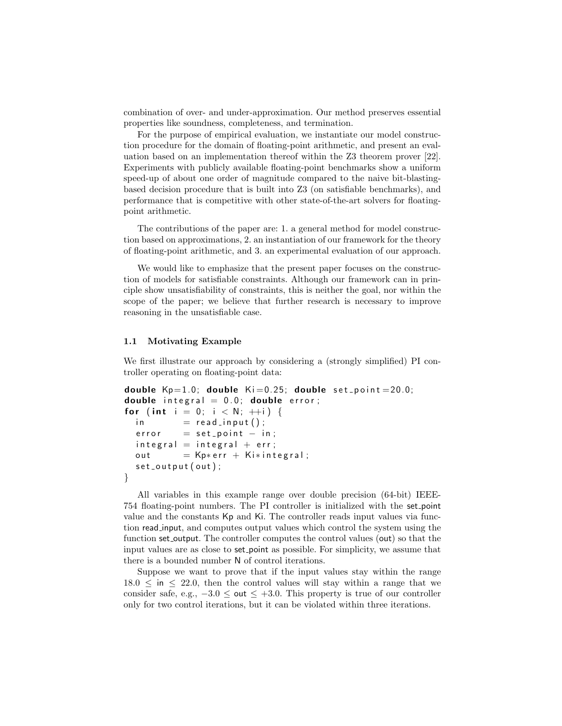combination of over- and under-approximation. Our method preserves essential properties like soundness, completeness, and termination.

For the purpose of empirical evaluation, we instantiate our model construction procedure for the domain of floating-point arithmetic, and present an evaluation based on an implementation thereof within the Z3 theorem prover [22]. Experiments with publicly available floating-point benchmarks show a uniform speed-up of about one order of magnitude compared to the naive bit-blastingbased decision procedure that is built into Z3 (on satisfiable benchmarks), and performance that is competitive with other state-of-the-art solvers for floatingpoint arithmetic.

The contributions of the paper are: 1. a general method for model construction based on approximations, 2. an instantiation of our framework for the theory of floating-point arithmetic, and 3. an experimental evaluation of our approach.

We would like to emphasize that the present paper focuses on the construction of models for satisfiable constraints. Although our framework can in principle show unsatisfiability of constraints, this is neither the goal, nor within the scope of the paper; we believe that further research is necessary to improve reasoning in the unsatisfiable case.

#### 1.1 Motivating Example

We first illustrate our approach by considering a (strongly simplified) PI controller operating on floating-point data:

```
double Kp=1.0; double Ki=0.25; double set point = 20.0;
double integral = 0.0; double error;
for (int i = 0; i < N; +i) {
  \mathsf{in} = \mathsf{read} \_ \mathsf{input}();
  error = set\_point - in;integral = integral + err;out = Kp* err + Ki* integral;
  set_{output}(out);}
```
All variables in this example range over double precision (64-bit) IEEE-754 floating-point numbers. The PI controller is initialized with the set point value and the constants Kp and Ki. The controller reads input values via function read input, and computes output values which control the system using the function set output. The controller computes the control values (out) so that the input values are as close to set point as possible. For simplicity, we assume that there is a bounded number N of control iterations.

Suppose we want to prove that if the input values stay within the range  $18.0 \leq \text{in} \leq 22.0$ , then the control values will stay within a range that we consider safe, e.g.,  $-3.0 \leq \omega t \leq +3.0$ . This property is true of our controller only for two control iterations, but it can be violated within three iterations.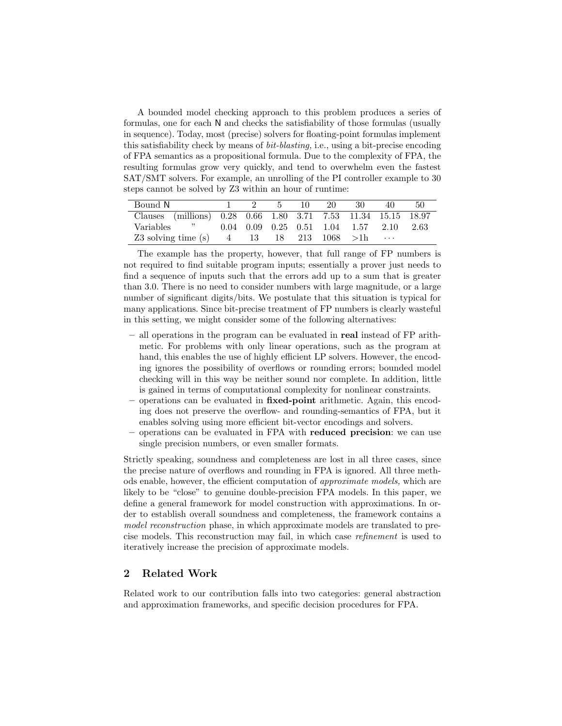A bounded model checking approach to this problem produces a series of formulas, one for each N and checks the satisfiability of those formulas (usually in sequence). Today, most (precise) solvers for floating-point formulas implement this satisfiability check by means of bit-blasting, i.e., using a bit-precise encoding of FPA semantics as a propositional formula. Due to the complexity of FPA, the resulting formulas grow very quickly, and tend to overwhelm even the fastest SAT/SMT solvers. For example, an unrolling of the PI controller example to 30 steps cannot be solved by Z3 within an hour of runtime:

| Bound N                                                       |  | 10 I | 20 | -30                                                     | 40       | 50 |
|---------------------------------------------------------------|--|------|----|---------------------------------------------------------|----------|----|
| Clauses (millions) 0.28 0.66 1.80 3.71 7.53 11.34 15.15 18.97 |  |      |    |                                                         |          |    |
| $\cdot$ , $\cdot$ , $\cdot$<br>Variables                      |  |      |    | $0.04$ $0.09$ $0.25$ $0.51$ $1.04$ $1.57$ $2.10$ $2.63$ |          |    |
| Z3 solving time (s) $4 \t 13 \t 18 \t 213 \t 1068 >1$ h       |  |      |    |                                                         | $\cdots$ |    |

The example has the property, however, that full range of FP numbers is not required to find suitable program inputs; essentially a prover just needs to find a sequence of inputs such that the errors add up to a sum that is greater than 3.0. There is no need to consider numbers with large magnitude, or a large number of significant digits/bits. We postulate that this situation is typical for many applications. Since bit-precise treatment of FP numbers is clearly wasteful in this setting, we might consider some of the following alternatives:

- all operations in the program can be evaluated in real instead of FP arithmetic. For problems with only linear operations, such as the program at hand, this enables the use of highly efficient LP solvers. However, the encoding ignores the possibility of overflows or rounding errors; bounded model checking will in this way be neither sound nor complete. In addition, little is gained in terms of computational complexity for nonlinear constraints.
- operations can be evaluated in fixed-point arithmetic. Again, this encoding does not preserve the overflow- and rounding-semantics of FPA, but it enables solving using more efficient bit-vector encodings and solvers.
- operations can be evaluated in FPA with reduced precision: we can use single precision numbers, or even smaller formats.

Strictly speaking, soundness and completeness are lost in all three cases, since the precise nature of overflows and rounding in FPA is ignored. All three methods enable, however, the efficient computation of approximate models, which are likely to be "close" to genuine double-precision FPA models. In this paper, we define a general framework for model construction with approximations. In order to establish overall soundness and completeness, the framework contains a model reconstruction phase, in which approximate models are translated to precise models. This reconstruction may fail, in which case refinement is used to iteratively increase the precision of approximate models.

## 2 Related Work

Related work to our contribution falls into two categories: general abstraction and approximation frameworks, and specific decision procedures for FPA.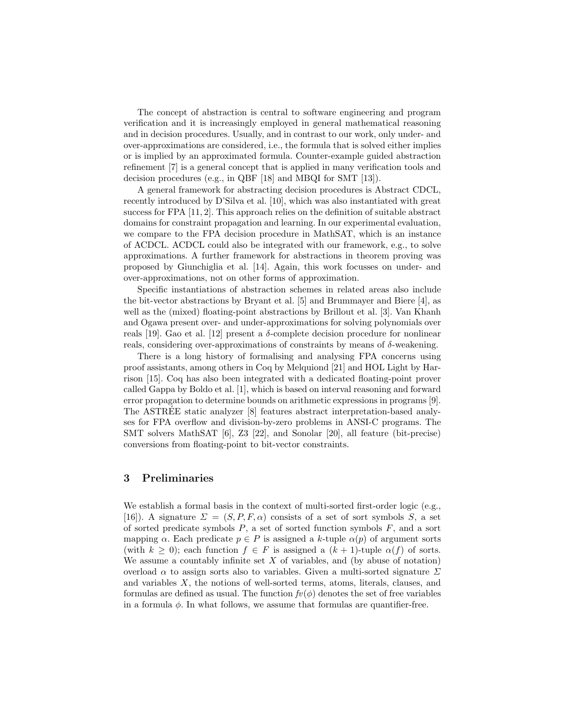The concept of abstraction is central to software engineering and program verification and it is increasingly employed in general mathematical reasoning and in decision procedures. Usually, and in contrast to our work, only under- and over-approximations are considered, i.e., the formula that is solved either implies or is implied by an approximated formula. Counter-example guided abstraction refinement [7] is a general concept that is applied in many verification tools and decision procedures (e.g., in QBF [18] and MBQI for SMT [13]).

A general framework for abstracting decision procedures is Abstract CDCL, recently introduced by D'Silva et al. [10], which was also instantiated with great success for FPA [11, 2]. This approach relies on the definition of suitable abstract domains for constraint propagation and learning. In our experimental evaluation, we compare to the FPA decision procedure in MathSAT, which is an instance of ACDCL. ACDCL could also be integrated with our framework, e.g., to solve approximations. A further framework for abstractions in theorem proving was proposed by Giunchiglia et al. [14]. Again, this work focusses on under- and over-approximations, not on other forms of approximation.

Specific instantiations of abstraction schemes in related areas also include the bit-vector abstractions by Bryant et al. [5] and Brummayer and Biere [4], as well as the (mixed) floating-point abstractions by Brillout et al. [3]. Van Khanh and Ogawa present over- and under-approximations for solving polynomials over reals [19]. Gao et al. [12] present a  $\delta$ -complete decision procedure for nonlinear reals, considering over-approximations of constraints by means of δ-weakening.

There is a long history of formalising and analysing FPA concerns using proof assistants, among others in Coq by Melquiond [21] and HOL Light by Harrison [15]. Coq has also been integrated with a dedicated floating-point prover called Gappa by Boldo et al. [1], which is based on interval reasoning and forward error propagation to determine bounds on arithmetic expressions in programs [9]. The ASTREE static analyzer [8] features abstract interpretation-based analy- ´ ses for FPA overflow and division-by-zero problems in ANSI-C programs. The SMT solvers MathSAT [6], Z3 [22], and Sonolar [20], all feature (bit-precise) conversions from floating-point to bit-vector constraints.

## 3 Preliminaries

We establish a formal basis in the context of multi-sorted first-order logic (e.g., [16]). A signature  $\Sigma = (S, P, F, \alpha)$  consists of a set of sort symbols S, a set of sorted predicate symbols  $P$ , a set of sorted function symbols  $F$ , and a sort mapping  $\alpha$ . Each predicate  $p \in P$  is assigned a k-tuple  $\alpha(p)$  of argument sorts (with  $k \geq 0$ ); each function  $f \in F$  is assigned a  $(k + 1)$ -tuple  $\alpha(f)$  of sorts. We assume a countably infinite set  $X$  of variables, and (by abuse of notation) overload  $\alpha$  to assign sorts also to variables. Given a multi-sorted signature  $\Sigma$ and variables X, the notions of well-sorted terms, atoms, literals, clauses, and formulas are defined as usual. The function  $f(v(\phi))$  denotes the set of free variables in a formula  $\phi$ . In what follows, we assume that formulas are quantifier-free.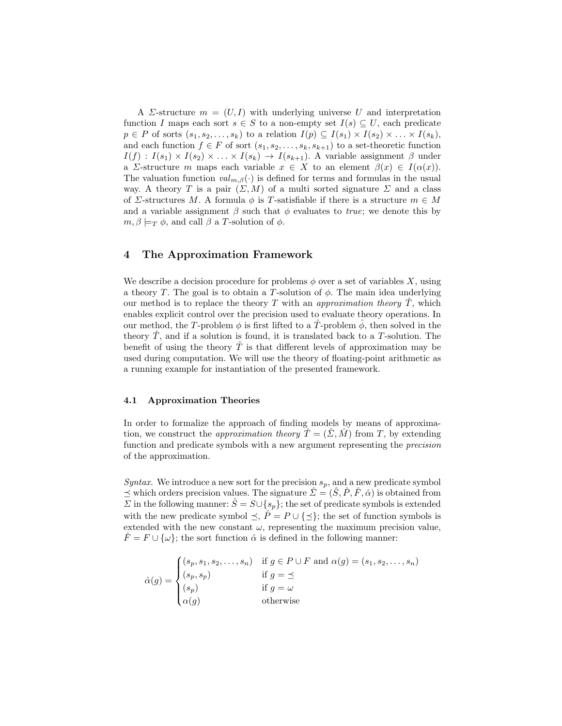A *Σ*-structure  $m = (U, I)$  with underlying universe U and interpretation function I maps each sort  $s \in S$  to a non-empty set  $I(s) \subseteq U$ , each predicate  $p \in P$  of sorts  $(s_1, s_2, \ldots, s_k)$  to a relation  $I(p) \subseteq I(s_1) \times I(s_2) \times \ldots \times I(s_k)$ , and each function  $f \in F$  of sort  $(s_1, s_2, \ldots, s_k, s_{k+1})$  to a set-theoretic function  $I(f) : I(s_1) \times I(s_2) \times \ldots \times I(s_k) \rightarrow I(s_{k+1})$ . A variable assignment  $\beta$  under a Σ-structure m maps each variable  $x \in X$  to an element  $\beta(x) \in I(\alpha(x))$ . The valuation function  $val_{m,\beta}(\cdot)$  is defined for terms and formulas in the usual way. A theory T is a pair  $(\Sigma, M)$  of a multi sorted signature  $\Sigma$  and a class of  $\Sigma$ -structures M. A formula  $\phi$  is T-satisfiable if there is a structure  $m \in M$ and a variable assignment  $\beta$  such that  $\phi$  evaluates to *true*; we denote this by  $m, \beta \models_T \phi$ , and call  $\beta$  a T-solution of  $\phi$ .

## 4 The Approximation Framework

We describe a decision procedure for problems  $\phi$  over a set of variables X, using a theory T. The goal is to obtain a T-solution of  $\phi$ . The main idea underlying our method is to replace the theory T with an *approximation theory*  $\hat{T}$ , which enables explicit control over the precision used to evaluate theory operations. In our method, the T-problem  $\phi$  is first lifted to a T-problem  $\hat{\phi}$ , then solved in the theory  $T$ , and if a solution is found, it is translated back to a  $T$ -solution. The benefit of using the theory  $\hat{T}$  is that different levels of approximation may be used during computation. We will use the theory of floating-point arithmetic as a running example for instantiation of the presented framework.

#### 4.1 Approximation Theories

In order to formalize the approach of finding models by means of approximation, we construct the *approximation theory*  $\hat{T} = (\hat{\Sigma}, \hat{M})$  from T, by extending function and predicate symbols with a new argument representing the precision of the approximation.

Syntax. We introduce a new sort for the precision  $s_p$ , and a new predicate symbol  $\preceq$  which orders precision values. The signature  $\hat{\Sigma} = (\hat{S}, \hat{P}, \hat{F}, \hat{\alpha})$  is obtained from  $\Sigma$  in the following manner:  $\hat{S} = S \cup \{s_p\}$ ; the set of predicate symbols is extended with the new predicate symbol  $\leq$ ,  $\hat{P} = P \cup \{\leq\}$ ; the set of function symbols is extended with the new constant  $\omega$ , representing the maximum precision value,  $\hat{F} = F \cup \{\omega\}$ ; the sort function  $\hat{\alpha}$  is defined in the following manner:

 $\hat{\alpha}(g) =$  $\sqrt{ }$  $\int$  $\overline{\mathcal{L}}$  $(s_p, s_1, s_2, \ldots, s_n)$  if  $g \in P \cup F$  and  $\alpha(g) = (s_1, s_2, \ldots, s_n)$  $(s_p, s_p)$  if  $g = \preceq$  $(s_p)$  if  $g = \omega$  $\alpha(g)$  otherwise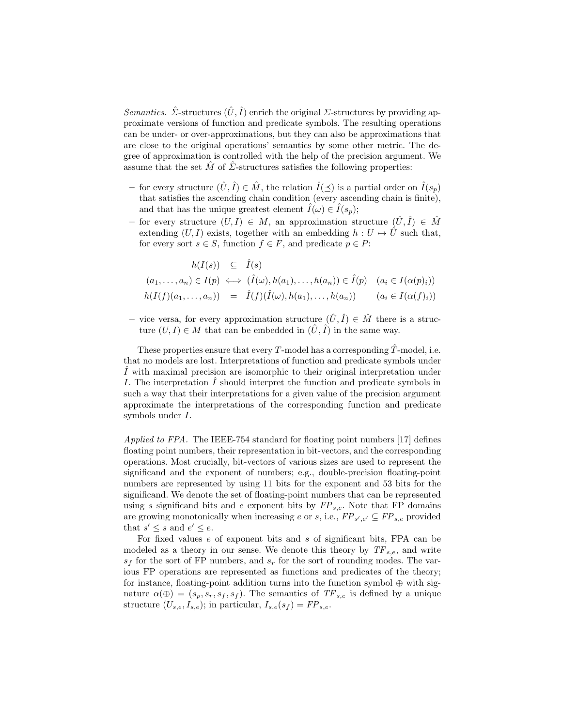Semantics.  $\hat{\Sigma}$ -structures  $(\hat{U}, \hat{I})$  enrich the original  $\Sigma$ -structures by providing approximate versions of function and predicate symbols. The resulting operations can be under- or over-approximations, but they can also be approximations that are close to the original operations' semantics by some other metric. The degree of approximation is controlled with the help of the precision argument. We assume that the set  $\hat{M}$  of  $\hat{\Sigma}$ -structures satisfies the following properties:

- for every structure  $(\hat{U}, \hat{I}) \in \hat{M}$ , the relation  $\hat{I}(\preceq)$  is a partial order on  $\hat{I}(s_p)$ that satisfies the ascending chain condition (every ascending chain is finite), and that has the unique greatest element  $I(\omega) \in I(s_p)$ ;
- for every structure  $(U, I) \in M$ , an approximation structure  $(\hat{U}, \hat{I}) \in \hat{M}$ extending  $(U, I)$  exists, together with an embedding  $h : U \mapsto U$  such that, for every sort  $s \in S$ , function  $f \in F$ , and predicate  $p \in P$ :

$$
h(I(s)) \subseteq \hat{I}(s)
$$
  
\n
$$
(a_1, \ldots, a_n) \in I(p) \iff (\hat{I}(\omega), h(a_1), \ldots, h(a_n)) \in \hat{I}(p) \quad (a_i \in I(\alpha(p)_i))
$$
  
\n
$$
h(I(f)(a_1, \ldots, a_n)) = \hat{I}(f)(\hat{I}(\omega), h(a_1), \ldots, h(a_n)) \quad (a_i \in I(\alpha(f)_i))
$$

– vice versa, for every approximation structure  $(\hat{U}, \hat{I}) \in \hat{M}$  there is a structure  $(U, I) \in M$  that can be embedded in  $(\tilde{U}, \tilde{I})$  in the same way.

These properties ensure that every T-model has a corresponding  $\ddot{T}$ -model, i.e. that no models are lost. Interpretations of function and predicate symbols under  $\hat{I}$  with maximal precision are isomorphic to their original interpretation under I. The interpretation  $\tilde{I}$  should interpret the function and predicate symbols in such a way that their interpretations for a given value of the precision argument approximate the interpretations of the corresponding function and predicate symbols under I.

Applied to FPA. The IEEE-754 standard for floating point numbers [17] defines floating point numbers, their representation in bit-vectors, and the corresponding operations. Most crucially, bit-vectors of various sizes are used to represent the significand and the exponent of numbers; e.g., double-precision floating-point numbers are represented by using 11 bits for the exponent and 53 bits for the significand. We denote the set of floating-point numbers that can be represented using s significand bits and e exponent bits by  $FP_{s,e}$ . Note that FP domains are growing monotonically when increasing e or s, i.e.,  $FP_{s',e'} \subseteq FP_{s,e}$  provided that  $s' \leq s$  and  $e' \leq e$ .

For fixed values e of exponent bits and s of significant bits, FPA can be modeled as a theory in our sense. We denote this theory by  $TF_{s.e.}$  and write  $s_f$  for the sort of FP numbers, and  $s_r$  for the sort of rounding modes. The various FP operations are represented as functions and predicates of the theory; for instance, floating-point addition turns into the function symbol  $\oplus$  with signature  $\alpha(\oplus) = (s_p, s_r, s_f, s_f)$ . The semantics of  $TF_{s,e}$  is defined by a unique structure  $(U_{s,e}, I_{s,e})$ ; in particular,  $I_{s,e}(s_f) = FP_{s,e}$ .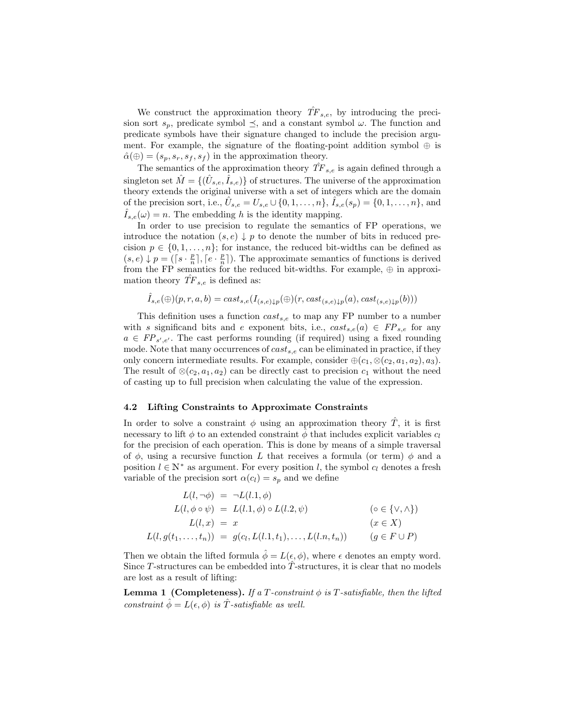We construct the approximation theory  $\hat{TF}_{s,e}$ , by introducing the precision sort  $s_p$ , predicate symbol  $\preceq$ , and a constant symbol  $\omega$ . The function and predicate symbols have their signature changed to include the precision argument. For example, the signature of the floating-point addition symbol  $\oplus$  is  $\hat{\alpha}(\oplus) = (s_p, s_r, s_f, s_f)$  in the approximation theory.

The semantics of the approximation theory  $\hat{TF}_{s,e}$  is again defined through a singleton set  $\hat{M} = \{(\hat{U}_{s,e}, \hat{I}_{s,e})\}$  of structures. The universe of the approximation theory extends the original universe with a set of integers which are the domain of the precision sort, i.e.,  $\hat{U}_{s,e} = U_{s,e} \cup \{0,1,\ldots,n\}, \hat{I}_{s,e}(s_p) = \{0,1,\ldots,n\},$  and  $I_{s,e}(\omega) = n$ . The embedding h is the identity mapping.

In order to use precision to regulate the semantics of FP operations, we introduce the notation  $(s, e) \downarrow p$  to denote the number of bits in reduced precision  $p \in \{0, 1, \ldots, n\}$ ; for instance, the reduced bit-widths can be defined as  $(s, e) \downarrow p = (\lceil s \cdot \frac{p}{n} \rceil, \lceil e \cdot \frac{p}{n} \rceil)$ . The approximate semantics of functions is derived from the FP semantics for the reduced bit-widths. For example,  $\oplus$  in approximation theory  $\hat{TF}_{s,e}$  is defined as:

$$
\hat{I}_{s,e}(\bigoplus)(p,r,a,b)=cast_{s,e}(I_{(s,e)\downarrow p}(\bigoplus)(r, cast_{(s,e)\downarrow p}(a), cast_{(s,e)\downarrow p}(b)))
$$

This definition uses a function  $cast_{s,e}$  to map any FP number to a number with s significand bits and e exponent bits, i.e.,  $cast_{s,e}(a) \in FP_{s,e}$  for any  $a \in FP_{s',e'}$ . The cast performs rounding (if required) using a fixed rounding mode. Note that many occurrences of  $cast_{s,e}$  can be eliminated in practice, if they only concern intermediate results. For example, consider  $\oplus$   $(c_1, \otimes$   $(c_2, a_1, a_2), a_3)$ . The result of  $\otimes$ ( $c_2$ ,  $a_1$ ,  $a_2$ ) can be directly cast to precision  $c_1$  without the need of casting up to full precision when calculating the value of the expression.

#### 4.2 Lifting Constraints to Approximate Constraints

In order to solve a constraint  $\phi$  using an approximation theory T, it is first necessary to lift  $\phi$  to an extended constraint  $\phi$  that includes explicit variables  $c_l$ for the precision of each operation. This is done by means of a simple traversal of  $\phi$ , using a recursive function L that receives a formula (or term)  $\phi$  and a position  $l \in \mathbb{N}^*$  as argument. For every position l, the symbol  $c_l$  denotes a fresh variable of the precision sort  $\alpha(c_l) = s_p$  and we define

$$
L(l, \neg \phi) = \neg L(l.1, \phi)
$$
  
\n
$$
L(l, \phi \circ \psi) = L(l.1, \phi) \circ L(l.2, \psi)
$$
  
\n
$$
L(l, x) = x
$$
  
\n
$$
L(l, g(t_1, \ldots, t_n)) = g(c_l, L(l.1, t_1), \ldots, L(l.n, t_n))
$$
  
\n
$$
(g \in F \cup P)
$$

Then we obtain the lifted formula  $\hat{\phi} = L(\epsilon, \phi)$ , where  $\epsilon$  denotes an empty word. Since T-structures can be embedded into T-structures, it is clear that no models are lost as a result of lifting:

**Lemma 1 (Completeness).** If a T-constraint  $\phi$  is T-satisfiable, then the lifted constraint  $\hat{\phi} = L(\epsilon, \phi)$  is T-satisfiable as well.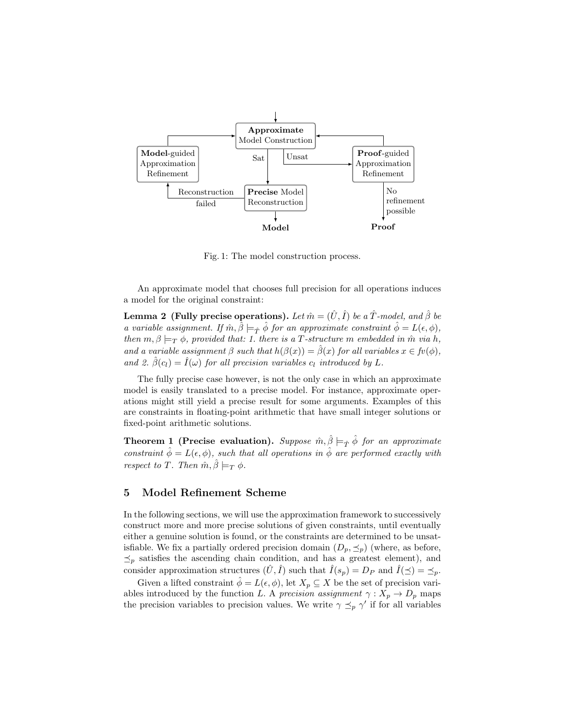

Fig. 1: The model construction process.

An approximate model that chooses full precision for all operations induces a model for the original constraint:

**Lemma 2** (Fully precise operations). Let  $\hat{m} = (\hat{U}, \hat{I})$  be a  $\hat{T}$ -model, and  $\hat{\beta}$  be a variable assignment. If  $\hat{m}, \hat{\beta} \models_{\hat{T}} \hat{\phi}$  for an approximate constraint  $\hat{\phi} = L(\epsilon, \phi)$ , then  $m, \beta \models_T \phi$ , provided that: 1. there is a T-structure m embedded in  $\hat{m}$  via h, and a variable assignment  $\beta$  such that  $h(\beta(x)) = \hat{\beta}(x)$  for all variables  $x \in f(\phi)$ , and 2.  $\hat{\beta}(c_l) = \hat{I}(\omega)$  for all precision variables  $c_l$  introduced by L.

The fully precise case however, is not the only case in which an approximate model is easily translated to a precise model. For instance, approximate operations might still yield a precise result for some arguments. Examples of this are constraints in floating-point arithmetic that have small integer solutions or fixed-point arithmetic solutions.

**Theorem 1 (Precise evaluation).** Suppose  $\hat{m}, \hat{\beta} \models_{\hat{T}} \hat{\phi}$  for an approximate constraint  $\hat{\phi} = L(\epsilon, \phi)$ , such that all operations in  $\hat{\phi}$  are performed exactly with respect to T. Then  $\hat{m}, \hat{\beta} \models_T \phi$ .

## 5 Model Refinement Scheme

In the following sections, we will use the approximation framework to successively construct more and more precise solutions of given constraints, until eventually either a genuine solution is found, or the constraints are determined to be unsatisfiable. We fix a partially ordered precision domain  $(D_p, \preceq_p)$  (where, as before,  $\preceq_p$  satisfies the ascending chain condition, and has a greatest element), and consider approximation structures  $(\tilde{U}, \tilde{I})$  such that  $\tilde{I}(s_p) = D_P$  and  $\tilde{I}(\preceq) = \preceq_p$ .

Given a lifted constraint  $\phi = L(\epsilon, \phi)$ , let  $X_p \subseteq X$  be the set of precision variables introduced by the function L. A precision assignment  $\gamma: X_p \to D_p$  maps the precision variables to precision values. We write  $\gamma \preceq_p \gamma'$  if for all variables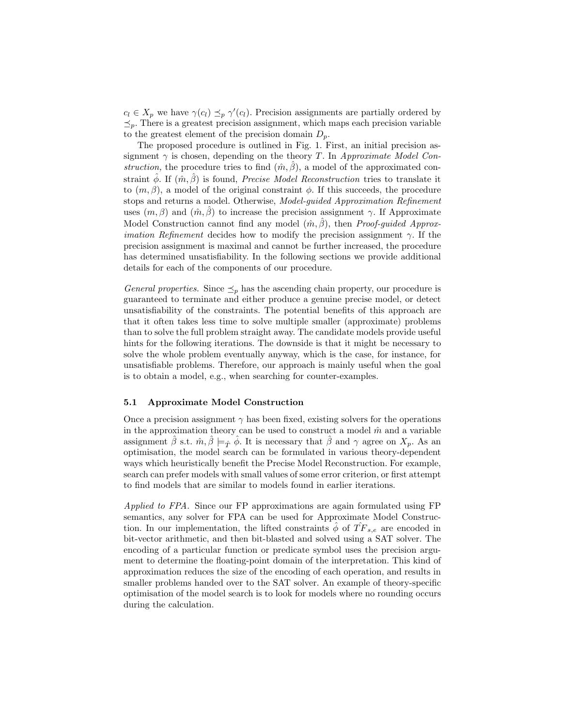$c_l \in X_p$  we have  $\gamma(c_l) \preceq_p \gamma'(c_l)$ . Precision assignments are partially ordered by  $\preceq_p$ . There is a greatest precision assignment, which maps each precision variable to the greatest element of the precision domain  $D_p$ .

The proposed procedure is outlined in Fig. 1. First, an initial precision assignment  $\gamma$  is chosen, depending on the theory T. In Approximate Model Construction, the procedure tries to find  $(\hat{m}, \hat{\beta})$ , a model of the approximated constraint  $\hat{\phi}$ . If  $(\hat{m}, \hat{\beta})$  is found, *Precise Model Reconstruction* tries to translate it to  $(m, \beta)$ , a model of the original constraint  $\phi$ . If this succeeds, the procedure stops and returns a model. Otherwise, Model-guided Approximation Refinement uses  $(m, \beta)$  and  $(\hat{m}, \beta)$  to increase the precision assignment  $\gamma$ . If Approximate Model Construction cannot find any model  $(\hat{m}, \hat{\beta})$ , then *Proof-quided Approximation Refinement* decides how to modify the precision assignment  $\gamma$ . If the precision assignment is maximal and cannot be further increased, the procedure has determined unsatisfiability. In the following sections we provide additional details for each of the components of our procedure.

General properties. Since  $\leq_p$  has the ascending chain property, our procedure is guaranteed to terminate and either produce a genuine precise model, or detect unsatisfiability of the constraints. The potential benefits of this approach are that it often takes less time to solve multiple smaller (approximate) problems than to solve the full problem straight away. The candidate models provide useful hints for the following iterations. The downside is that it might be necessary to solve the whole problem eventually anyway, which is the case, for instance, for unsatisfiable problems. Therefore, our approach is mainly useful when the goal is to obtain a model, e.g., when searching for counter-examples.

#### 5.1 Approximate Model Construction

Once a precision assignment  $\gamma$  has been fixed, existing solvers for the operations in the approximation theory can be used to construct a model  $\hat{m}$  and a variable assignment  $\hat{\beta}$  s.t.  $\hat{m}, \hat{\beta} \models_{\hat{\mathcal{T}}} \hat{\phi}$ . It is necessary that  $\hat{\beta}$  and  $\gamma$  agree on  $X_p$ . As an optimisation, the model search can be formulated in various theory-dependent ways which heuristically benefit the Precise Model Reconstruction. For example, search can prefer models with small values of some error criterion, or first attempt to find models that are similar to models found in earlier iterations.

Applied to FPA. Since our FP approximations are again formulated using FP semantics, any solver for FPA can be used for Approximate Model Construction. In our implementation, the lifted constraints  $\hat{\phi}$  of  $\hat{TF}_{s,e}$  are encoded in bit-vector arithmetic, and then bit-blasted and solved using a SAT solver. The encoding of a particular function or predicate symbol uses the precision argument to determine the floating-point domain of the interpretation. This kind of approximation reduces the size of the encoding of each operation, and results in smaller problems handed over to the SAT solver. An example of theory-specific optimisation of the model search is to look for models where no rounding occurs during the calculation.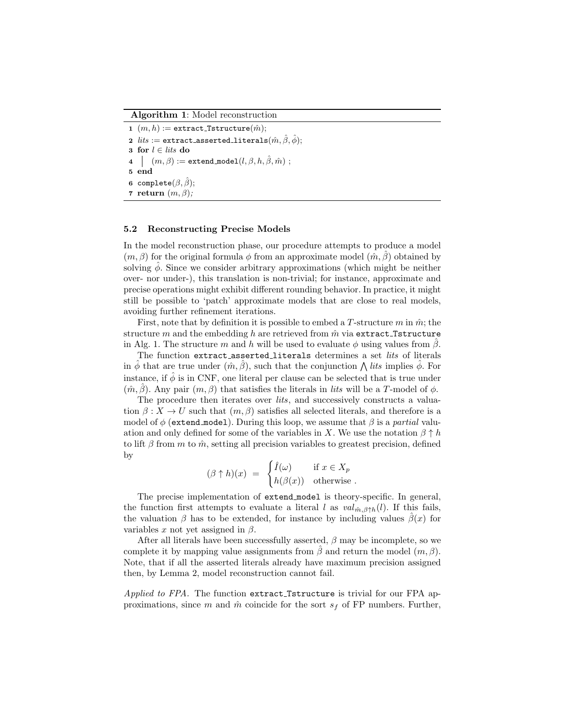#### Algorithm 1: Model reconstruction

1  $(m, h) :=$  extract\_Tstructure $(\hat{m})$ ; 2  $\; \; \mathit{lits} :=$  extract\_asserted\_literals $(\hat{m}, \hat{\beta}, \hat{\phi});$ 3 for  $l \in$  *lits* do  $4\mid (m, \beta) := \mathtt{extend\_model}(l, \beta, h, \hat{\beta}, \hat{m}) ;$ 5 end 6 complete $(\beta, \beta)$ ; 7 return  $(m, \beta)$ ;

#### 5.2 Reconstructing Precise Models

In the model reconstruction phase, our procedure attempts to produce a model  $(m, \beta)$  for the original formula  $\phi$  from an approximate model  $(\hat{m}, \beta)$  obtained by solving  $\phi$ . Since we consider arbitrary approximations (which might be neither over- nor under-), this translation is non-trivial; for instance, approximate and precise operations might exhibit different rounding behavior. In practice, it might still be possible to 'patch' approximate models that are close to real models, avoiding further refinement iterations.

First, note that by definition it is possible to embed a T-structure  $m$  in  $\hat{m}$ ; the structure m and the embedding h are retrieved from  $\hat{m}$  via extract Tstructure in Alg. 1. The structure m and h will be used to evaluate  $\phi$  using values from  $\beta$ .

The function extract asserted literals determines a set *lits* of literals in  $\hat{\phi}$  that are true under  $(\hat{m}, \hat{\beta})$ , such that the conjunction  $\bigwedge$  *lits* implies  $\hat{\phi}$ . For instance, if  $\hat{\phi}$  is in CNF, one literal per clause can be selected that is true under  $(m, \hat{\beta})$ . Any pair  $(m, \beta)$  that satisfies the literals in *lits* will be a T-model of  $\phi$ .

The procedure then iterates over *lits*, and successively constructs a valuation  $\beta: X \to U$  such that  $(m, \beta)$  satisfies all selected literals, and therefore is a model of  $\phi$  (extend model). During this loop, we assume that  $\beta$  is a *partial* valuation and only defined for some of the variables in X. We use the notation  $\beta \uparrow h$ to lift  $\beta$  from m to  $\hat{m}$ , setting all precision variables to greatest precision, defined by

$$
(\beta \uparrow h)(x) = \begin{cases} \hat{I}(\omega) & \text{if } x \in X_p \\ h(\beta(x)) & \text{otherwise} \end{cases}.
$$

The precise implementation of extend model is theory-specific. In general, the function first attempts to evaluate a literal l as  $val_{\hat{m},\beta \uparrow h}(l)$ . If this fails, the valuation  $\beta$  has to be extended, for instance by including values  $\beta(x)$  for variables x not yet assigned in  $\beta$ .

After all literals have been successfully asserted,  $\beta$  may be incomplete, so we complete it by mapping value assignments from  $\hat{\beta}$  and return the model  $(m, \beta)$ . Note, that if all the asserted literals already have maximum precision assigned then, by Lemma 2, model reconstruction cannot fail.

Applied to FPA. The function extract\_Tstructure is trivial for our FPA approximations, since m and  $\hat{m}$  coincide for the sort  $s_f$  of FP numbers. Further,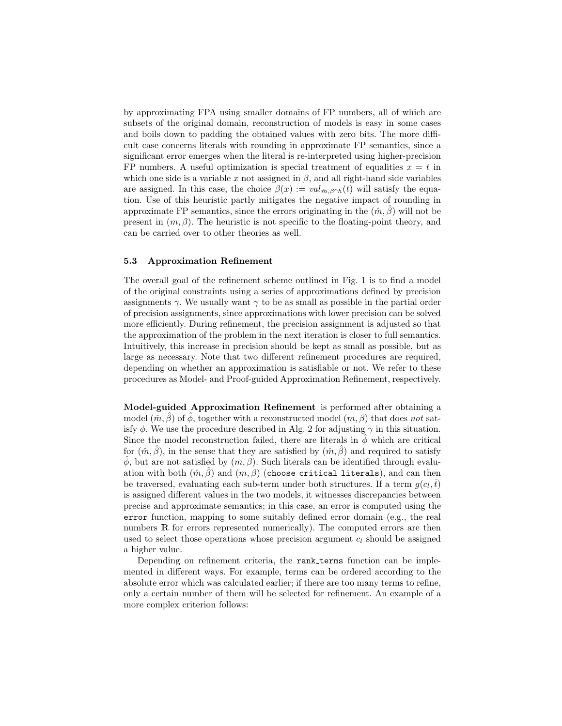by approximating FPA using smaller domains of FP numbers, all of which are subsets of the original domain, reconstruction of models is easy in some cases and boils down to padding the obtained values with zero bits. The more difficult case concerns literals with rounding in approximate FP semantics, since a significant error emerges when the literal is re-interpreted using higher-precision FP numbers. A useful optimization is special treatment of equalities  $x = t$  in which one side is a variable x not assigned in  $\beta$ , and all right-hand side variables are assigned. In this case, the choice  $\beta(x) := val_{\hat{m},\beta\uparrow h}(t)$  will satisfy the equation. Use of this heuristic partly mitigates the negative impact of rounding in approximate FP semantics, since the errors originating in the  $(\hat{m}, \hat{\beta})$  will not be present in  $(m, \beta)$ . The heuristic is not specific to the floating-point theory, and can be carried over to other theories as well.

#### 5.3 Approximation Refinement

The overall goal of the refinement scheme outlined in Fig. 1 is to find a model of the original constraints using a series of approximations defined by precision assignments  $\gamma$ . We usually want  $\gamma$  to be as small as possible in the partial order of precision assignments, since approximations with lower precision can be solved more efficiently. During refinement, the precision assignment is adjusted so that the approximation of the problem in the next iteration is closer to full semantics. Intuitively, this increase in precision should be kept as small as possible, but as large as necessary. Note that two different refinement procedures are required, depending on whether an approximation is satisfiable or not. We refer to these procedures as Model- and Proof-guided Approximation Refinement, respectively.

Model-guided Approximation Refinement is performed after obtaining a model  $(\hat{m}, \beta)$  of  $\phi$ , together with a reconstructed model  $(m, \beta)$  that does not satisfy  $\phi$ . We use the procedure described in Alg. 2 for adjusting  $\gamma$  in this situation. Since the model reconstruction failed, there are literals in  $\phi$  which are critical for  $(\hat{m}, \hat{\beta})$ , in the sense that they are satisfied by  $(\hat{m}, \hat{\beta})$  and required to satisfy  $φ$ , but are not satisfied by  $(m, β)$ . Such literals can be identified through evaluation with both  $(\hat{m}, \hat{\beta})$  and  $(m, \beta)$  (choose critical literals), and can then be traversed, evaluating each sub-term under both structures. If a term  $g(c_l, \bar{t})$ is assigned different values in the two models, it witnesses discrepancies between precise and approximate semantics; in this case, an error is computed using the error function, mapping to some suitably defined error domain (e.g., the real numbers R for errors represented numerically). The computed errors are then used to select those operations whose precision argument  $c_l$  should be assigned a higher value.

Depending on refinement criteria, the rank terms function can be implemented in different ways. For example, terms can be ordered according to the absolute error which was calculated earlier; if there are too many terms to refine, only a certain number of them will be selected for refinement. An example of a more complex criterion follows: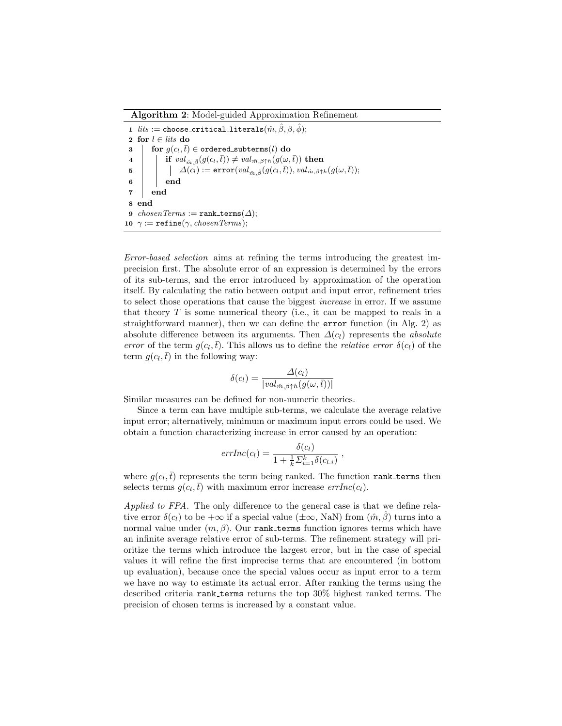Algorithm 2: Model-guided Approximation Refinement

1  $\text{ } lists := \texttt{choose-critical\_literals}( \hat{m}, \hat{\beta}, \beta, \hat{\phi});$ 2 for  $l \in$  *lits* do 3 for  $g(c_l, \bar{t}) \in \text{ordered}_\text{subterms}(l)$  do  $\mathbf{a} \quad | \quad \text{if } val_{\hat{m}, \hat{\beta}}(g(c_l, \bar{t})) \neq val_{\hat{m}, \beta \uparrow h}(g(\omega, \bar{t})) \text{ then}$  $\texttt{5} \quad | \quad \mid \quad \Delta(c_l) := \texttt{error}(val_{\hat{m}, \hat{\beta}}(g(c_l, \bar{t})), val_{\hat{m}, \beta \uparrow h}(g(\omega, \bar{t}));$  $6 \mid \cdot \cdot$  end 7 end 8 end 9  $chosenTerms := rank_t terms(\Delta);$ 10  $\gamma := \text{refine}(\gamma, chosenTerms);$ 

Error-based selection aims at refining the terms introducing the greatest imprecision first. The absolute error of an expression is determined by the errors of its sub-terms, and the error introduced by approximation of the operation itself. By calculating the ratio between output and input error, refinement tries to select those operations that cause the biggest increase in error. If we assume that theory  $T$  is some numerical theory (i.e., it can be mapped to reals in a straightforward manner), then we can define the error function (in Alg. 2) as absolute difference between its arguments. Then  $\Delta(c_l)$  represents the *absolute* error of the term  $g(c_l, \bar{t})$ . This allows us to define the *relative error*  $\delta(c_l)$  of the term  $g(c_l, \bar{t})$  in the following way:

$$
\delta(c_l) = \frac{\Delta(c_l)}{|val_{\hat{m},\beta\uparrow h}(g(\omega,\bar{t}))|}
$$

Similar measures can be defined for non-numeric theories.

Since a term can have multiple sub-terms, we calculate the average relative input error; alternatively, minimum or maximum input errors could be used. We obtain a function characterizing increase in error caused by an operation:

$$
errInc(c_l) = \frac{\delta(c_l)}{1 + \frac{1}{k} \sum_{i=1}^k \delta(c_{l,i})}
$$

,

where  $g(c_l, \bar{t})$  represents the term being ranked. The function rank terms then selects terms  $g(c_l, \bar{t})$  with maximum error increase  $errInc(c_l)$ .

Applied to FPA. The only difference to the general case is that we define relative error  $\delta(c_l)$  to be  $+\infty$  if a special value  $(\pm\infty, \text{NaN})$  from  $(\hat{m}, \hat{\beta})$  turns into a normal value under  $(m, \beta)$ . Our rank terms function ignores terms which have an infinite average relative error of sub-terms. The refinement strategy will prioritize the terms which introduce the largest error, but in the case of special values it will refine the first imprecise terms that are encountered (in bottom up evaluation), because once the special values occur as input error to a term we have no way to estimate its actual error. After ranking the terms using the described criteria rank terms returns the top 30% highest ranked terms. The precision of chosen terms is increased by a constant value.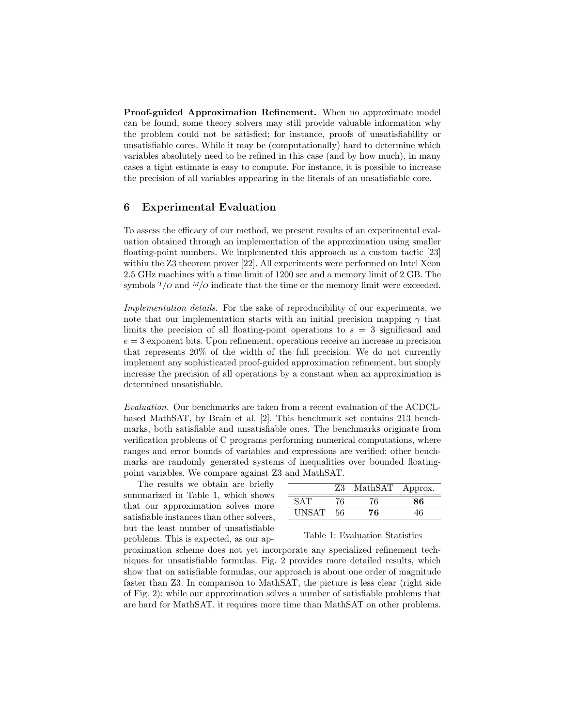Proof-guided Approximation Refinement. When no approximate model can be found, some theory solvers may still provide valuable information why the problem could not be satisfied; for instance, proofs of unsatisfiability or unsatisfiable cores. While it may be (computationally) hard to determine which variables absolutely need to be refined in this case (and by how much), in many cases a tight estimate is easy to compute. For instance, it is possible to increase the precision of all variables appearing in the literals of an unsatisfiable core.

## 6 Experimental Evaluation

To assess the efficacy of our method, we present results of an experimental evaluation obtained through an implementation of the approximation using smaller floating-point numbers. We implemented this approach as a custom tactic [23] within the Z3 theorem prover [22]. All experiments were performed on Intel Xeon 2.5 GHz machines with a time limit of 1200 sec and a memory limit of 2 GB. The symbols  $T/O$  and  $M/O$  indicate that the time or the memory limit were exceeded.

Implementation details. For the sake of reproducibility of our experiments, we note that our implementation starts with an initial precision mapping  $\gamma$  that limits the precision of all floating-point operations to  $s = 3$  significand and  $e = 3$  exponent bits. Upon refinement, operations receive an increase in precision that represents 20% of the width of the full precision. We do not currently implement any sophisticated proof-guided approximation refinement, but simply increase the precision of all operations by a constant when an approximation is determined unsatisfiable.

Evaluation. Our benchmarks are taken from a recent evaluation of the ACDCLbased MathSAT, by Brain et al. [2]. This benchmark set contains 213 benchmarks, both satisfiable and unsatisfiable ones. The benchmarks originate from verification problems of C programs performing numerical computations, where ranges and error bounds of variables and expressions are verified; other benchmarks are randomly generated systems of inequalities over bounded floatingpoint variables. We compare against Z3 and MathSAT.

The results we obtain are briefly summarized in Table 1, which shows that our approximation solves more satisfiable instances than other solvers, but the least number of unsatisfiable problems. This is expected, as our ap-

|              | 73  | MathSAT | Approx. |
|--------------|-----|---------|---------|
| S A' F       | 76. | 76      | 86      |
| <b>UNSAT</b> | 56  | 76.     | 16      |

#### Table 1: Evaluation Statistics

proximation scheme does not yet incorporate any specialized refinement techniques for unsatisfiable formulas. Fig. 2 provides more detailed results, which show that on satisfiable formulas, our approach is about one order of magnitude faster than Z3. In comparison to MathSAT, the picture is less clear (right side of Fig. 2): while our approximation solves a number of satisfiable problems that are hard for MathSAT, it requires more time than MathSAT on other problems.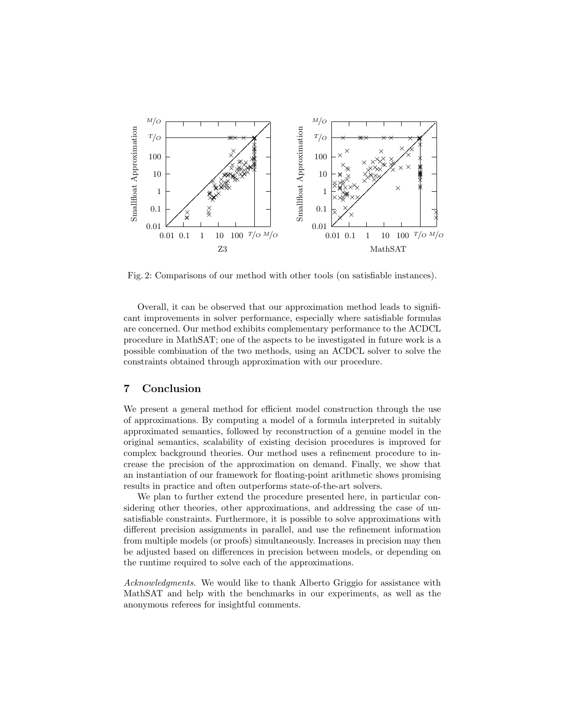

Fig. 2: Comparisons of our method with other tools (on satisfiable instances).

Overall, it can be observed that our approximation method leads to significant improvements in solver performance, especially where satisfiable formulas are concerned. Our method exhibits complementary performance to the ACDCL procedure in MathSAT; one of the aspects to be investigated in future work is a possible combination of the two methods, using an ACDCL solver to solve the constraints obtained through approximation with our procedure.

## 7 Conclusion

We present a general method for efficient model construction through the use of approximations. By computing a model of a formula interpreted in suitably approximated semantics, followed by reconstruction of a genuine model in the original semantics, scalability of existing decision procedures is improved for complex background theories. Our method uses a refinement procedure to increase the precision of the approximation on demand. Finally, we show that an instantiation of our framework for floating-point arithmetic shows promising results in practice and often outperforms state-of-the-art solvers.

We plan to further extend the procedure presented here, in particular considering other theories, other approximations, and addressing the case of unsatisfiable constraints. Furthermore, it is possible to solve approximations with different precision assignments in parallel, and use the refinement information from multiple models (or proofs) simultaneously. Increases in precision may then be adjusted based on differences in precision between models, or depending on the runtime required to solve each of the approximations.

Acknowledgments. We would like to thank Alberto Griggio for assistance with MathSAT and help with the benchmarks in our experiments, as well as the anonymous referees for insightful comments.